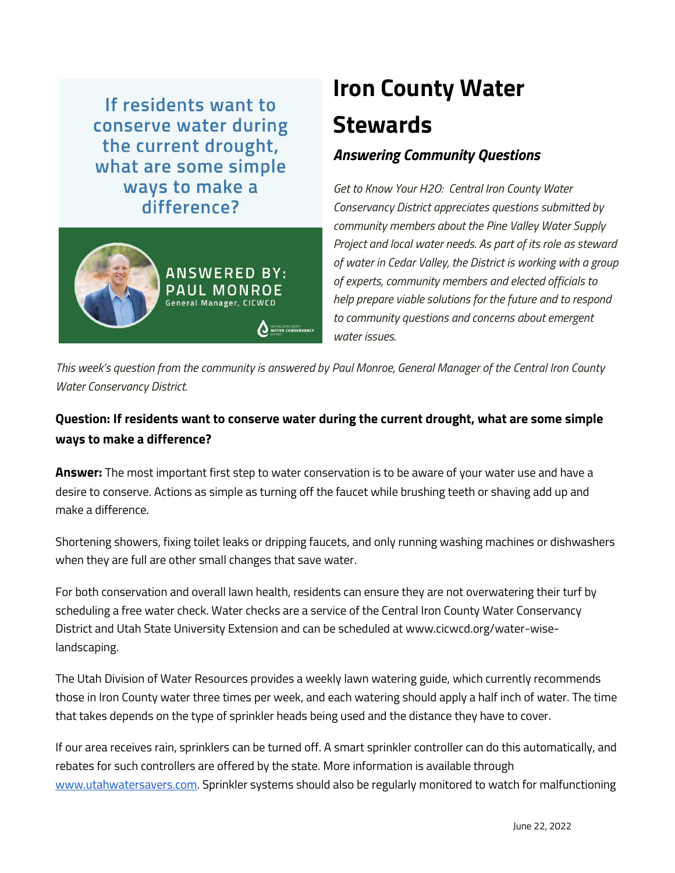If residents want to conserve water during the current drought, what are some simple ways to make a difference?



## **Iron County Water Stewards** *Answering Community Questions*

*Get to Know Your H2O: Central Iron County Water Conservancy District appreciates questions submitted by community members about the Pine Valley Water Supply Project and local water needs. As part of its role as steward of water in Cedar Valley, the District is working with a group of experts, community members and elected officials to help prepare viable solutions for the future and to respond to community questions and concerns about emergent water issues.*

*This week's question from the community is answered by Paul Monroe, General Manager of the Central Iron County Water Conservancy District.*

## **Question: If residents want to conserve water during the current drought, what are some simple ways to make a difference?**

**Answer:** The most important first step to water conservation is to be aware of your water use and have a desire to conserve. Actions as simple as turning off the faucet while brushing teeth or shaving add up and make a difference.

Shortening showers, fixing toilet leaks or dripping faucets, and only running washing machines or dishwashers when they are full are other small changes that save water.

For both conservation and overall lawn health, residents can ensure they are not overwatering their turf by scheduling a free water check. Water checks are a service of the Central Iron County Water Conservancy District and Utah State University Extension and can be scheduled at www.cicwcd.org/water-wiselandscaping.

The Utah Division of Water Resources provides a weekly lawn watering guide, which currently recommends those in Iron County water three times per week, and each watering should apply a half inch of water. The time that takes depends on the type of sprinkler heads being used and the distance they have to cover.

If our area receives rain, sprinklers can be turned off. A smart sprinkler controller can do this automatically, and rebates for such controllers are offered by the state. More information is available through [www.utahwatersavers.com.](http://www.utahwatersavers.com/) Sprinkler systems should also be regularly monitored to watch for malfunctioning